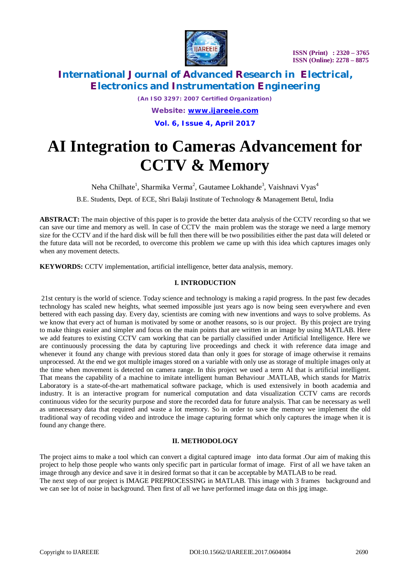

# **International Journal of Advanced Research in Electrical, Electronics and Instrumentation Engineering**

*(An ISO 3297: 2007 Certified Organization)*

*Website: [www.ijareeie.com](http://www.ijareeie.com)* **Vol. 6, Issue 4, April 2017**

# **AI Integration to Cameras Advancement for CCTV & Memory**

Neha Chilhate<sup>1</sup>, Sharmika Verma<sup>2</sup>, Gautamee Lokhande<sup>3</sup>, Vaishnavi Vyas<sup>4</sup>

B.E. Students, Dept. of ECE, Shri Balaji Institute of Technology & Management Betul, India

**ABSTRACT:** The main objective of this paper is to provide the better data analysis of the CCTV recording so that we can save our time and memory as well. In case of CCTV the main problem was the storage we need a large memory size for the CCTV and if the hard disk will be full then there will be two possibilities either the past data will deleted or the future data will not be recorded, to overcome this problem we came up with this idea which captures images only when any movement detects.

**KEYWORDS:** CCTV implementation, artificial intelligence, better data analysis, memory.

### **I. INTRODUCTION**

21st century is the world of science. Today science and technology is making a rapid progress. In the past few decades technology has scaled new heights, what seemed impossible just years ago is now being seen everywhere and even bettered with each passing day. Every day, scientists are coming with new inventions and ways to solve problems. As we know that every act of human is motivated by some or another reasons, so is our project. By this project are trying to make things easier and simpler and focus on the main points that are written in an image by using MATLAB. Here we add features to existing CCTV cam working that can be partially classified under Artificial Intelligence. Here we are continuously processing the data by capturing live proceedings and check it with reference data image and whenever it found any change with previous stored data than only it goes for storage of image otherwise it remains unprocessed. At the end we got multiple images stored on a variable with only use as storage of multiple images only at the time when movement is detected on camera range. In this project we used a term AI that is artificial intelligent. That means the capability of a machine to imitate intelligent human Behaviour .MATLAB, which stands for Matrix Laboratory is a state-of-the-art mathematical software package, which is used extensively in booth academia and industry. It is an interactive program for numerical computation and data visualization CCTV cams are records continuous video for the security purpose and store the recorded data for future analysis. That can be necessary as well as unnecessary data that required and waste a lot memory. So in order to save the memory we implement the old traditional way of recoding video and introduce the image capturing format which only captures the image when it is found any change there.

### **II. METHODOLOGY**

The project aims to make a tool which can convert a digital captured image into data format .Our aim of making this project to help those people who wants only specific part in particular format of image. First of all we have taken an image through any device and save it in desired format so that it can be acceptable by MATLAB to be read. The next step of our project is IMAGE PREPROCESSING in MATLAB. This image with 3 frames background and we can see lot of noise in background. Then first of all we have performed image data on this jpg image.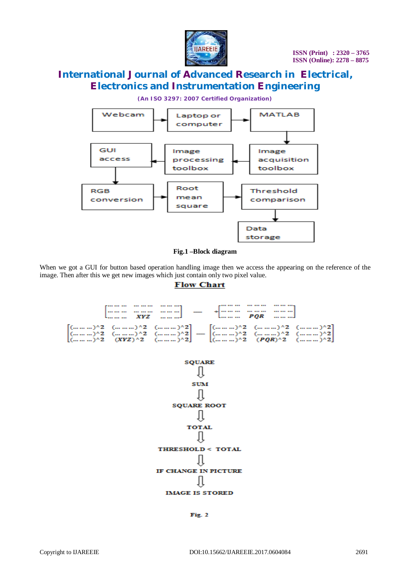

# **International Journal of Advanced Research in Electrical, Electronics and Instrumentation Engineering**

*(An ISO 3297: 2007 Certified Organization)*





When we got a GUI for button based operation handling image then we access the appearing on the reference of the image. Then after this we get new images which just contain only two pixel value.

#### **Flow Chart**



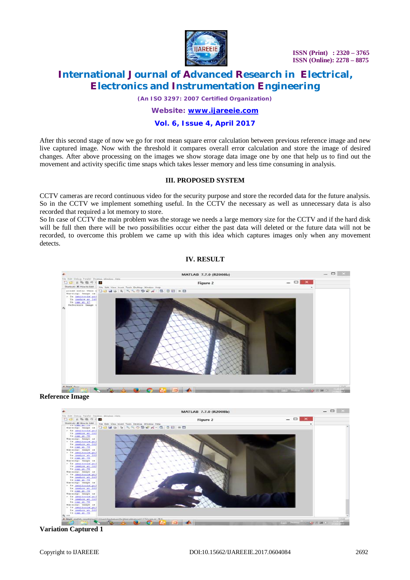

 **ISSN (Print) : 2320 – 3765 ISSN (Online): 2278 – 8875**

# **International Journal of Advanced Research in Electrical, Electronics and Instrumentation Engineering**

*(An ISO 3297: 2007 Certified Organization)*

### *Website: [www.ijareeie.com](http://www.ijareeie.com)*

### **Vol. 6, Issue 4, April 2017**

After this second stage of now we go for root mean square error calculation between previous reference image and new live captured image. Now with the threshold it compares overall error calculation and store the image of desired changes. After above processing on the images we show storage data image one by one that help us to find out the movement and activity specific time snaps which takes lesser memory and less time consuming in analysis.

#### **III. PROPOSED SYSTEM**

CCTV cameras are record continuous video for the security purpose and store the recorded data for the future analysis. So in the CCTV we implement something useful. In the CCTV the necessary as well as unnecessary data is also recorded that required a lot memory to store.

So In case of CCTV the main problem was the storage we needs a large memory size for the CCTV and if the hard disk will be full then there will be two possibilities occur either the past data will deleted or the future data will not be recorded, to overcome this problem we came up with this idea which captures images only when any movement detects.

#### **IV. RESULT**





**Variation Captured 1**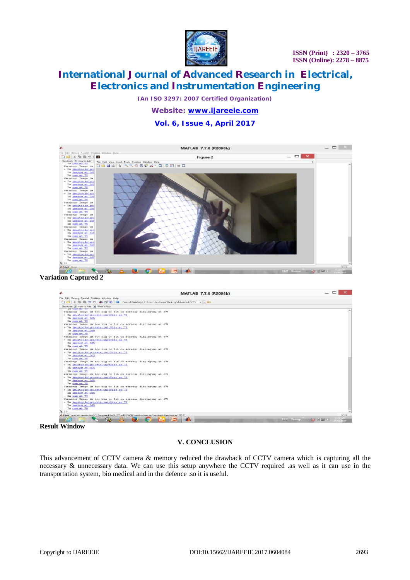

# **International Journal of Advanced Research in Electrical, Electronics and Instrumentation Engineering**

*(An ISO 3297: 2007 Certified Organization)*

### *Website: [www.ijareeie.com](http://www.ijareeie.com)* **Vol. 6, Issue 4, April 2017**



#### **Variation Captured 2**



**Result Window**

### **V. CONCLUSION**

This advancement of CCTV camera & memory reduced the drawback of CCTV camera which is capturing all the necessary & unnecessary data. We can use this setup anywhere the CCTV required .as well as it can use in the transportation system, bio medical and in the defence .so it is useful.